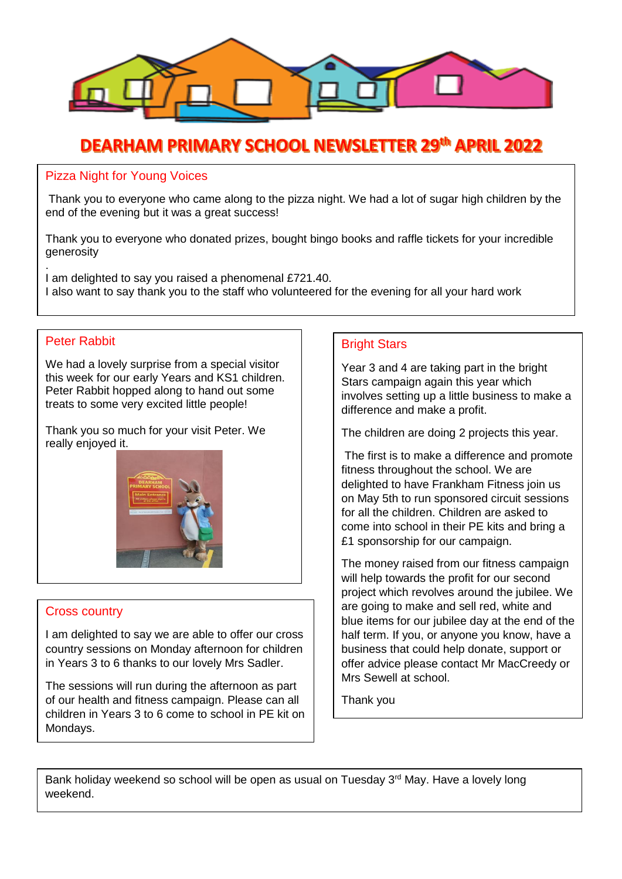

### **DEARHAM PRIMARY SCHOOL NEWSLETTER 29th APRIL 2022**

#### Pizza Night for Young Voices

Thank you to everyone who came along to the pizza night. We had a lot of sugar high children by the end of the evening but it was a great success!

Thank you to everyone who donated prizes, bought bingo books and raffle tickets for your incredible generosity

. I am delighted to say you raised a phenomenal £721.40. I also want to say thank you to the staff who volunteered for the evening for all your hard work

#### Peter Rabbit

We had a lovely surprise from a special visitor this week for our early Years and KS1 children. Peter Rabbit hopped along to hand out some treats to some very excited little people!

Thank you so much for your visit Peter. We really enjoyed it.



#### Cross country

I am delighted to say we are able to offer our cross country sessions on Monday afternoon for children in Years 3 to 6 thanks to our lovely Mrs Sadler.

The sessions will run during the afternoon as part of our health and fitness campaign. Please can all children in Years 3 to 6 come to school in PE kit on Mondays.

#### Bright Stars

Year 3 and 4 are taking part in the bright Stars campaign again this year which involves setting up a little business to make a difference and make a profit.

The children are doing 2 projects this year.

The first is to make a difference and promote fitness throughout the school. We are delighted to have Frankham Fitness join us on May 5th to run sponsored circuit sessions for all the children. Children are asked to come into school in their PE kits and bring a £1 sponsorship for our campaign.

The money raised from our fitness campaign will help towards the profit for our second project which revolves around the jubilee. We are going to make and sell red, white and blue items for our jubilee day at the end of the half term. If you, or anyone you know, have a business that could help donate, support or offer advice please contact Mr MacCreedy or Mrs Sewell at school.

Thank you

Bank holiday weekend so school will be open as usual on Tuesday 3<sup>rd</sup> May. Have a lovely long weekend.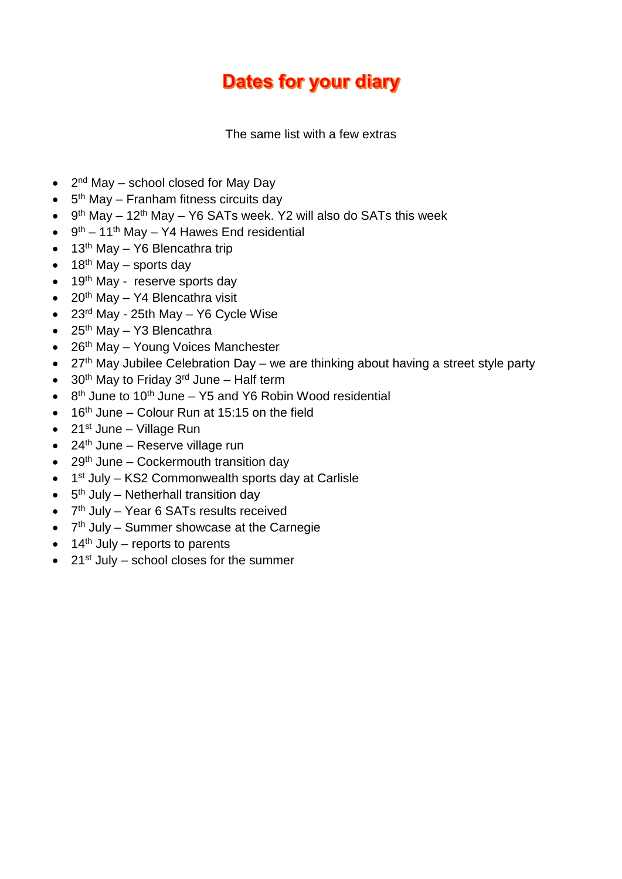# **Dates for your diary**

The same list with a few extras

- $2<sup>nd</sup>$  May school closed for May Day
- $\bullet$  5<sup>th</sup> May Franham fitness circuits day
- $\bullet$  9<sup>th</sup> May 12<sup>th</sup> May Y6 SATs week. Y2 will also do SATs this week
- $\bullet$  9<sup>th</sup> 11<sup>th</sup> May Y4 Hawes End residential
- $\bullet$  13<sup>th</sup> May Y6 Blencathra trip
- $\bullet$  18<sup>th</sup> May sports day
- $\bullet$  19<sup>th</sup> May reserve sports day
- $\bullet$  20<sup>th</sup> May Y4 Blencathra visit
- $\bullet$  23<sup>rd</sup> May 25th May Y6 Cycle Wise
- $\bullet$  25<sup>th</sup> May Y3 Blencathra
- $\bullet$  26<sup>th</sup> May Young Voices Manchester
- 27<sup>th</sup> May Jubilee Celebration Day we are thinking about having a street style party
- $\bullet$  30<sup>th</sup> May to Friday 3<sup>rd</sup> June Half term
- $\bullet$  8<sup>th</sup> June to 10<sup>th</sup> June Y5 and Y6 Robin Wood residential
- $16<sup>th</sup>$  June Colour Run at 15:15 on the field
- $\bullet$  21st June Village Run
- $\bullet$  24<sup>th</sup> June Reserve village run
- $\bullet$  29<sup>th</sup> June Cockermouth transition day
- 1<sup>st</sup> July KS2 Commonwealth sports day at Carlisle
- $\bullet$  5<sup>th</sup> July Netherhall transition day
- 7<sup>th</sup> July Year 6 SATs results received
- 7<sup>th</sup> July Summer showcase at the Carnegie
- $\bullet$  14<sup>th</sup> July reports to parents
- $\bullet$  21st July school closes for the summer